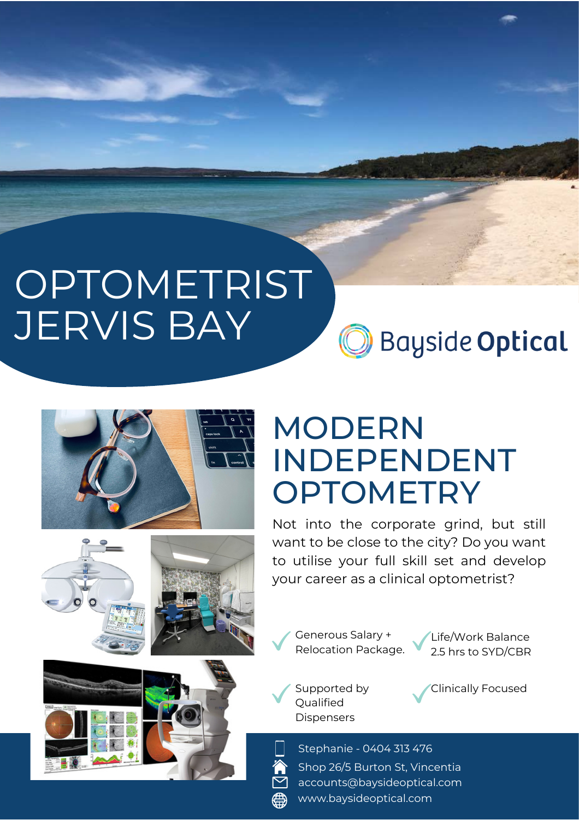# **OPTOMETRIST** JERVIS BAY





## MODERN INDEPENDENT **OPTOMETRY**

Not into the corporate grind, but still want to be close to the city? Do you want to utilise your full skill set and develop your career as a clinical optometrist?

Generous Salary + Relocation Package. Life/Work Balance 2.5 hrs to SYD/CBR

Supported by **Oualified** Dispensers

Clinically Focused

Shop 26/5 Burton St, Vincentia accounts@baysideoptical.com Stephanie - 0404 313 476 www.baysideoptical.com